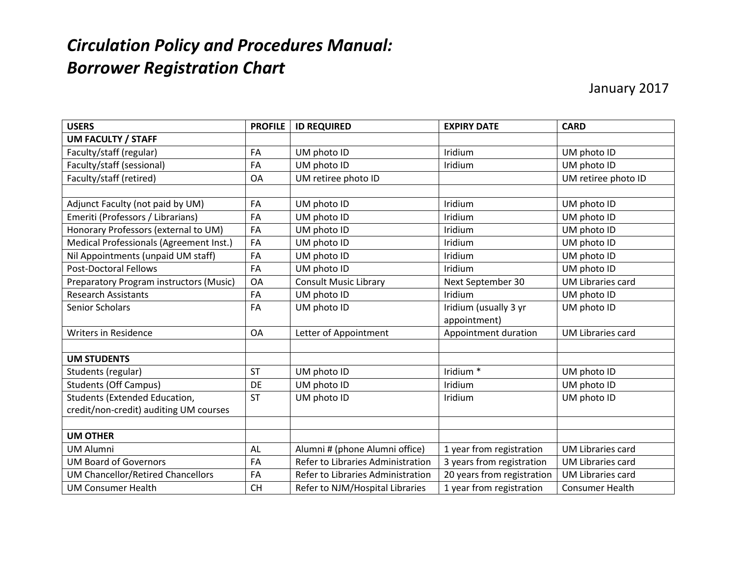## *Circulation Policy and Procedures Manual: Borrower Registration Chart*

January 2017

| <b>USERS</b>                             | <b>PROFILE</b> | <b>ID REQUIRED</b>                | <b>EXPIRY DATE</b>         | <b>CARD</b>              |
|------------------------------------------|----------------|-----------------------------------|----------------------------|--------------------------|
| <b>UM FACULTY / STAFF</b>                |                |                                   |                            |                          |
| Faculty/staff (regular)                  | FA             | UM photo ID                       | Iridium                    | UM photo ID              |
| Faculty/staff (sessional)                | FA             | UM photo ID                       | Iridium                    | UM photo ID              |
| Faculty/staff (retired)                  | OA             | UM retiree photo ID               |                            | UM retiree photo ID      |
|                                          |                |                                   |                            |                          |
| Adjunct Faculty (not paid by UM)         | FA             | UM photo ID                       | Iridium                    | UM photo ID              |
| Emeriti (Professors / Librarians)        | FA             | UM photo ID                       | Iridium                    | UM photo ID              |
| Honorary Professors (external to UM)     | FA             | UM photo ID                       | Iridium                    | UM photo ID              |
| Medical Professionals (Agreement Inst.)  | FA             | UM photo ID                       | Iridium                    | UM photo ID              |
| Nil Appointments (unpaid UM staff)       | FA             | UM photo ID                       | Iridium                    | UM photo ID              |
| <b>Post-Doctoral Fellows</b>             | FA             | UM photo ID                       | Iridium                    | UM photo ID              |
| Preparatory Program instructors (Music)  | <b>OA</b>      | <b>Consult Music Library</b>      | Next September 30          | <b>UM Libraries card</b> |
| <b>Research Assistants</b>               | FA             | UM photo ID                       | Iridium                    | UM photo ID              |
| Senior Scholars                          | FA             | UM photo ID                       | Iridium (usually 3 yr      | UM photo ID              |
|                                          |                |                                   | appointment)               |                          |
| <b>Writers in Residence</b>              | <b>OA</b>      | Letter of Appointment             | Appointment duration       | <b>UM Libraries card</b> |
|                                          |                |                                   |                            |                          |
| <b>UM STUDENTS</b>                       |                |                                   |                            |                          |
| Students (regular)                       | <b>ST</b>      | UM photo ID                       | Iridium <sup>*</sup>       | UM photo ID              |
| <b>Students (Off Campus)</b>             | DE             | UM photo ID                       | Iridium                    | UM photo ID              |
| Students (Extended Education,            | <b>ST</b>      | UM photo ID                       | Iridium                    | UM photo ID              |
| credit/non-credit) auditing UM courses   |                |                                   |                            |                          |
|                                          |                |                                   |                            |                          |
| <b>UM OTHER</b>                          |                |                                   |                            |                          |
| <b>UM Alumni</b>                         | AL             | Alumni # (phone Alumni office)    | 1 year from registration   | <b>UM Libraries card</b> |
| <b>UM Board of Governors</b>             | FA             | Refer to Libraries Administration | 3 years from registration  | <b>UM Libraries card</b> |
| <b>UM Chancellor/Retired Chancellors</b> | FA             | Refer to Libraries Administration | 20 years from registration | <b>UM Libraries card</b> |
| <b>UM Consumer Health</b>                | <b>CH</b>      | Refer to NJM/Hospital Libraries   | 1 year from registration   | <b>Consumer Health</b>   |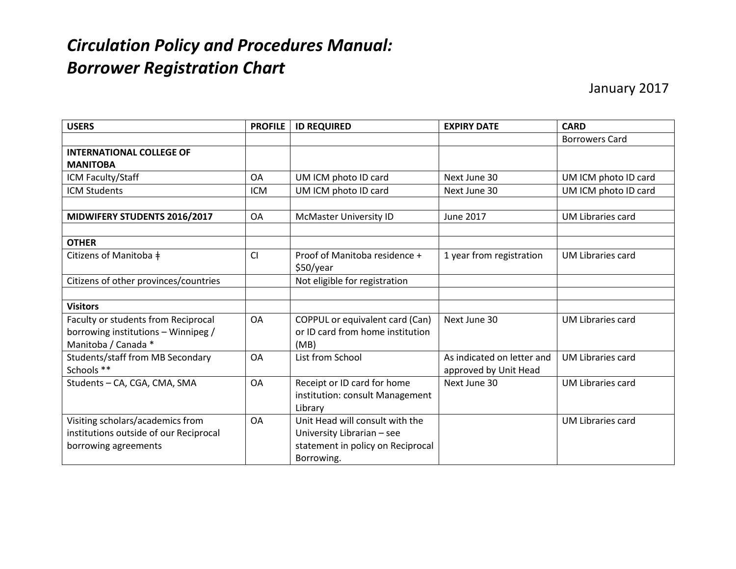## *Circulation Policy and Procedures Manual: Borrower Registration Chart*

| <b>USERS</b>                           | <b>PROFILE</b> | <b>ID REQUIRED</b>                | <b>EXPIRY DATE</b>         | <b>CARD</b>              |
|----------------------------------------|----------------|-----------------------------------|----------------------------|--------------------------|
|                                        |                |                                   |                            | <b>Borrowers Card</b>    |
| <b>INTERNATIONAL COLLEGE OF</b>        |                |                                   |                            |                          |
| <b>MANITOBA</b>                        |                |                                   |                            |                          |
| ICM Faculty/Staff                      | <b>OA</b>      | UM ICM photo ID card              | Next June 30               | UM ICM photo ID card     |
| <b>ICM Students</b>                    | <b>ICM</b>     | UM ICM photo ID card              | Next June 30               | UM ICM photo ID card     |
|                                        |                |                                   |                            |                          |
| MIDWIFERY STUDENTS 2016/2017           | <b>OA</b>      | McMaster University ID            | June 2017                  | <b>UM Libraries card</b> |
|                                        |                |                                   |                            |                          |
| <b>OTHER</b>                           |                |                                   |                            |                          |
| Citizens of Manitoba ‡                 | CI             | Proof of Manitoba residence +     | 1 year from registration   | <b>UM Libraries card</b> |
|                                        |                | \$50/year                         |                            |                          |
| Citizens of other provinces/countries  |                | Not eligible for registration     |                            |                          |
|                                        |                |                                   |                            |                          |
| <b>Visitors</b>                        |                |                                   |                            |                          |
| Faculty or students from Reciprocal    | <b>OA</b>      | COPPUL or equivalent card (Can)   | Next June 30               | <b>UM Libraries card</b> |
| borrowing institutions - Winnipeg /    |                | or ID card from home institution  |                            |                          |
| Manitoba / Canada *                    |                | (MB)                              |                            |                          |
| Students/staff from MB Secondary       | <b>OA</b>      | List from School                  | As indicated on letter and | <b>UM Libraries card</b> |
| Schools **                             |                |                                   | approved by Unit Head      |                          |
| Students - CA, CGA, CMA, SMA           | <b>OA</b>      | Receipt or ID card for home       | Next June 30               | <b>UM Libraries card</b> |
|                                        |                | institution: consult Management   |                            |                          |
|                                        |                | Library                           |                            |                          |
| Visiting scholars/academics from       | <b>OA</b>      | Unit Head will consult with the   |                            | <b>UM Libraries card</b> |
| institutions outside of our Reciprocal |                | University Librarian - see        |                            |                          |
| borrowing agreements                   |                | statement in policy on Reciprocal |                            |                          |
|                                        |                | Borrowing.                        |                            |                          |